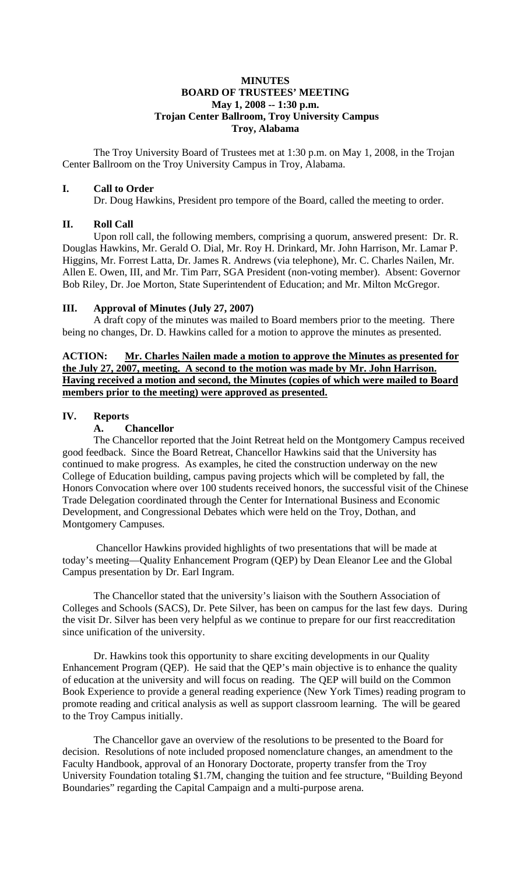### **MINUTES BOARD OF TRUSTEES' MEETING May 1, 2008 -- 1:30 p.m. Trojan Center Ballroom, Troy University Campus Troy, Alabama**

The Troy University Board of Trustees met at 1:30 p.m. on May 1, 2008, in the Trojan Center Ballroom on the Troy University Campus in Troy, Alabama.

### **I. Call to Order**

Dr. Doug Hawkins, President pro tempore of the Board, called the meeting to order.

### **II. Roll Call**

Upon roll call, the following members, comprising a quorum, answered present: Dr. R. Douglas Hawkins, Mr. Gerald O. Dial, Mr. Roy H. Drinkard, Mr. John Harrison, Mr. Lamar P. Higgins, Mr. Forrest Latta, Dr. James R. Andrews (via telephone), Mr. C. Charles Nailen, Mr. Allen E. Owen, III, and Mr. Tim Parr, SGA President (non-voting member). Absent: Governor Bob Riley, Dr. Joe Morton, State Superintendent of Education; and Mr. Milton McGregor.

# **III. Approval of Minutes (July 27, 2007)**

A draft copy of the minutes was mailed to Board members prior to the meeting. There being no changes, Dr. D. Hawkins called for a motion to approve the minutes as presented.

**ACTION: Mr. Charles Nailen made a motion to approve the Minutes as presented for the July 27, 2007, meeting. A second to the motion was made by Mr. John Harrison. Having received a motion and second, the Minutes (copies of which were mailed to Board members prior to the meeting) were approved as presented.** 

### **IV. Reports**

### **A. Chancellor**

The Chancellor reported that the Joint Retreat held on the Montgomery Campus received good feedback. Since the Board Retreat, Chancellor Hawkins said that the University has continued to make progress. As examples, he cited the construction underway on the new College of Education building, campus paving projects which will be completed by fall, the Honors Convocation where over 100 students received honors, the successful visit of the Chinese Trade Delegation coordinated through the Center for International Business and Economic Development, and Congressional Debates which were held on the Troy, Dothan, and Montgomery Campuses.

 Chancellor Hawkins provided highlights of two presentations that will be made at today's meeting—Quality Enhancement Program (QEP) by Dean Eleanor Lee and the Global Campus presentation by Dr. Earl Ingram.

 The Chancellor stated that the university's liaison with the Southern Association of Colleges and Schools (SACS), Dr. Pete Silver, has been on campus for the last few days. During the visit Dr. Silver has been very helpful as we continue to prepare for our first reaccreditation since unification of the university.

 Dr. Hawkins took this opportunity to share exciting developments in our Quality Enhancement Program (QEP). He said that the QEP's main objective is to enhance the quality of education at the university and will focus on reading. The QEP will build on the Common Book Experience to provide a general reading experience (New York Times) reading program to promote reading and critical analysis as well as support classroom learning. The will be geared to the Troy Campus initially.

 The Chancellor gave an overview of the resolutions to be presented to the Board for decision. Resolutions of note included proposed nomenclature changes, an amendment to the Faculty Handbook, approval of an Honorary Doctorate, property transfer from the Troy University Foundation totaling \$1.7M, changing the tuition and fee structure, "Building Beyond Boundaries" regarding the Capital Campaign and a multi-purpose arena.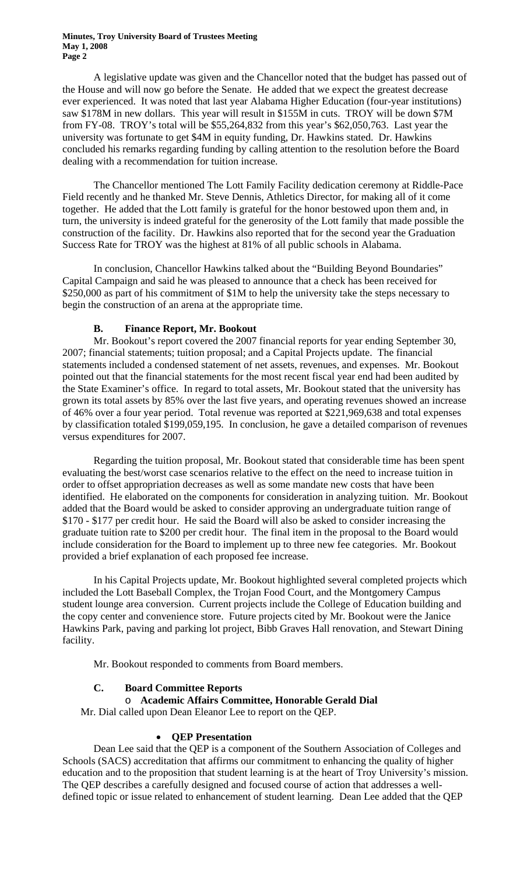A legislative update was given and the Chancellor noted that the budget has passed out of the House and will now go before the Senate. He added that we expect the greatest decrease ever experienced. It was noted that last year Alabama Higher Education (four-year institutions) saw \$178M in new dollars. This year will result in \$155M in cuts. TROY will be down \$7M from FY-08. TROY's total will be \$55,264,832 from this year's \$62,050,763. Last year the university was fortunate to get \$4M in equity funding, Dr. Hawkins stated. Dr. Hawkins concluded his remarks regarding funding by calling attention to the resolution before the Board dealing with a recommendation for tuition increase.

 The Chancellor mentioned The Lott Family Facility dedication ceremony at Riddle-Pace Field recently and he thanked Mr. Steve Dennis, Athletics Director, for making all of it come together. He added that the Lott family is grateful for the honor bestowed upon them and, in turn, the university is indeed grateful for the generosity of the Lott family that made possible the construction of the facility. Dr. Hawkins also reported that for the second year the Graduation Success Rate for TROY was the highest at 81% of all public schools in Alabama.

 In conclusion, Chancellor Hawkins talked about the "Building Beyond Boundaries" Capital Campaign and said he was pleased to announce that a check has been received for \$250,000 as part of his commitment of \$1M to help the university take the steps necessary to begin the construction of an arena at the appropriate time.

### **B. Finance Report, Mr. Bookout**

Mr. Bookout's report covered the 2007 financial reports for year ending September 30, 2007; financial statements; tuition proposal; and a Capital Projects update. The financial statements included a condensed statement of net assets, revenues, and expenses. Mr. Bookout pointed out that the financial statements for the most recent fiscal year end had been audited by the State Examiner's office. In regard to total assets, Mr. Bookout stated that the university has grown its total assets by 85% over the last five years, and operating revenues showed an increase of 46% over a four year period. Total revenue was reported at \$221,969,638 and total expenses by classification totaled \$199,059,195. In conclusion, he gave a detailed comparison of revenues versus expenditures for 2007.

 Regarding the tuition proposal, Mr. Bookout stated that considerable time has been spent evaluating the best/worst case scenarios relative to the effect on the need to increase tuition in order to offset appropriation decreases as well as some mandate new costs that have been identified. He elaborated on the components for consideration in analyzing tuition. Mr. Bookout added that the Board would be asked to consider approving an undergraduate tuition range of \$170 - \$177 per credit hour. He said the Board will also be asked to consider increasing the graduate tuition rate to \$200 per credit hour. The final item in the proposal to the Board would include consideration for the Board to implement up to three new fee categories. Mr. Bookout provided a brief explanation of each proposed fee increase.

 In his Capital Projects update, Mr. Bookout highlighted several completed projects which included the Lott Baseball Complex, the Trojan Food Court, and the Montgomery Campus student lounge area conversion. Current projects include the College of Education building and the copy center and convenience store. Future projects cited by Mr. Bookout were the Janice Hawkins Park, paving and parking lot project, Bibb Graves Hall renovation, and Stewart Dining facility.

Mr. Bookout responded to comments from Board members.

# **C. Board Committee Reports**

#### o **Academic Affairs Committee, Honorable Gerald Dial**

Mr. Dial called upon Dean Eleanor Lee to report on the QEP.

### • **QEP Presentation**

 Dean Lee said that the QEP is a component of the Southern Association of Colleges and Schools (SACS) accreditation that affirms our commitment to enhancing the quality of higher education and to the proposition that student learning is at the heart of Troy University's mission. The QEP describes a carefully designed and focused course of action that addresses a welldefined topic or issue related to enhancement of student learning. Dean Lee added that the QEP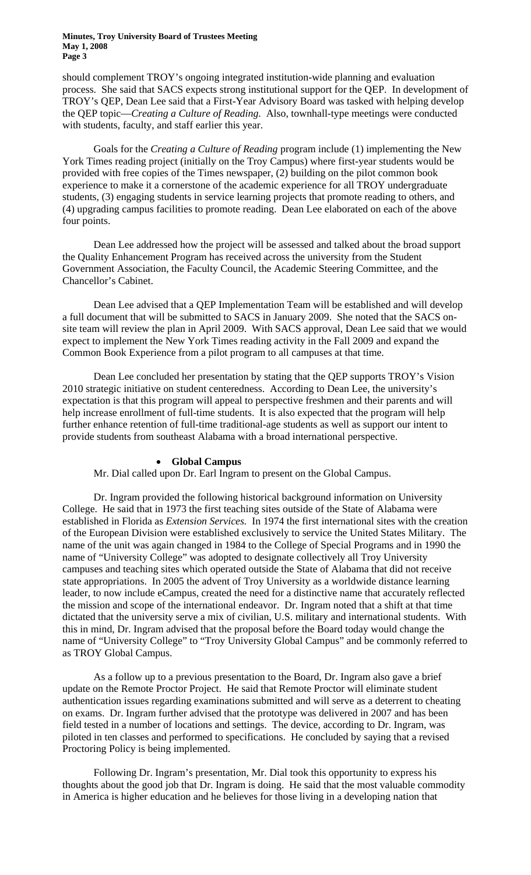should complement TROY's ongoing integrated institution-wide planning and evaluation process. She said that SACS expects strong institutional support for the QEP. In development of TROY's QEP, Dean Lee said that a First-Year Advisory Board was tasked with helping develop the QEP topic—*Creating a Culture of Reading*. Also, townhall-type meetings were conducted with students, faculty, and staff earlier this year.

 Goals for the *Creating a Culture of Reading* program include (1) implementing the New York Times reading project (initially on the Troy Campus) where first-year students would be provided with free copies of the Times newspaper, (2) building on the pilot common book experience to make it a cornerstone of the academic experience for all TROY undergraduate students, (3) engaging students in service learning projects that promote reading to others, and (4) upgrading campus facilities to promote reading. Dean Lee elaborated on each of the above four points.

 Dean Lee addressed how the project will be assessed and talked about the broad support the Quality Enhancement Program has received across the university from the Student Government Association, the Faculty Council, the Academic Steering Committee, and the Chancellor's Cabinet.

 Dean Lee advised that a QEP Implementation Team will be established and will develop a full document that will be submitted to SACS in January 2009. She noted that the SACS onsite team will review the plan in April 2009. With SACS approval, Dean Lee said that we would expect to implement the New York Times reading activity in the Fall 2009 and expand the Common Book Experience from a pilot program to all campuses at that time.

 Dean Lee concluded her presentation by stating that the QEP supports TROY's Vision 2010 strategic initiative on student centeredness. According to Dean Lee, the university's expectation is that this program will appeal to perspective freshmen and their parents and will help increase enrollment of full-time students. It is also expected that the program will help further enhance retention of full-time traditional-age students as well as support our intent to provide students from southeast Alabama with a broad international perspective.

#### • **Global Campus**

Mr. Dial called upon Dr. Earl Ingram to present on the Global Campus.

 Dr. Ingram provided the following historical background information on University College. He said that in 1973 the first teaching sites outside of the State of Alabama were established in Florida as *Extension Services.* In 1974 the first international sites with the creation of the European Division were established exclusively to service the United States Military. The name of the unit was again changed in 1984 to the College of Special Programs and in 1990 the name of "University College" was adopted to designate collectively all Troy University campuses and teaching sites which operated outside the State of Alabama that did not receive state appropriations. In 2005 the advent of Troy University as a worldwide distance learning leader, to now include eCampus, created the need for a distinctive name that accurately reflected the mission and scope of the international endeavor. Dr. Ingram noted that a shift at that time dictated that the university serve a mix of civilian, U.S. military and international students. With this in mind, Dr. Ingram advised that the proposal before the Board today would change the name of "University College" to "Troy University Global Campus" and be commonly referred to as TROY Global Campus.

As a follow up to a previous presentation to the Board, Dr. Ingram also gave a brief update on the Remote Proctor Project. He said that Remote Proctor will eliminate student authentication issues regarding examinations submitted and will serve as a deterrent to cheating on exams. Dr. Ingram further advised that the prototype was delivered in 2007 and has been field tested in a number of locations and settings. The device, according to Dr. Ingram, was piloted in ten classes and performed to specifications. He concluded by saying that a revised Proctoring Policy is being implemented.

 Following Dr. Ingram's presentation, Mr. Dial took this opportunity to express his thoughts about the good job that Dr. Ingram is doing. He said that the most valuable commodity in America is higher education and he believes for those living in a developing nation that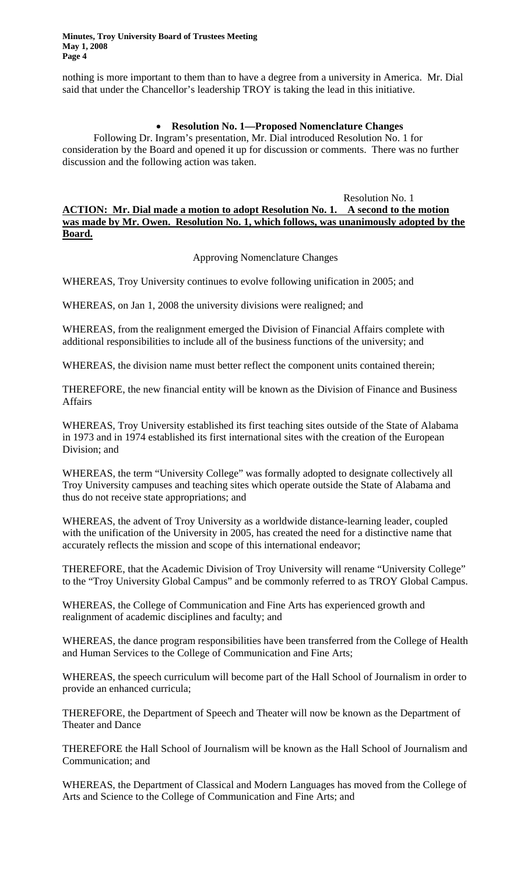nothing is more important to them than to have a degree from a university in America. Mr. Dial said that under the Chancellor's leadership TROY is taking the lead in this initiative.

### • **Resolution No. 1—Proposed Nomenclature Changes**

Following Dr. Ingram's presentation, Mr. Dial introduced Resolution No. 1 for consideration by the Board and opened it up for discussion or comments. There was no further discussion and the following action was taken.

### Resolution No. 1 **ACTION: Mr. Dial made a motion to adopt Resolution No. 1. A second to the motion was made by Mr. Owen. Resolution No. 1, which follows, was unanimously adopted by the Board.**

Approving Nomenclature Changes

WHEREAS, Troy University continues to evolve following unification in 2005; and

WHEREAS, on Jan 1, 2008 the university divisions were realigned; and

WHEREAS, from the realignment emerged the Division of Financial Affairs complete with additional responsibilities to include all of the business functions of the university; and

WHEREAS, the division name must better reflect the component units contained therein;

THEREFORE, the new financial entity will be known as the Division of Finance and Business Affairs

WHEREAS, Troy University established its first teaching sites outside of the State of Alabama in 1973 and in 1974 established its first international sites with the creation of the European Division; and

WHEREAS, the term "University College" was formally adopted to designate collectively all Troy University campuses and teaching sites which operate outside the State of Alabama and thus do not receive state appropriations; and

WHEREAS, the advent of Troy University as a worldwide distance-learning leader, coupled with the unification of the University in 2005, has created the need for a distinctive name that accurately reflects the mission and scope of this international endeavor;

THEREFORE, that the Academic Division of Troy University will rename "University College" to the "Troy University Global Campus" and be commonly referred to as TROY Global Campus.

WHEREAS, the College of Communication and Fine Arts has experienced growth and realignment of academic disciplines and faculty; and

WHEREAS, the dance program responsibilities have been transferred from the College of Health and Human Services to the College of Communication and Fine Arts;

WHEREAS, the speech curriculum will become part of the Hall School of Journalism in order to provide an enhanced curricula;

THEREFORE, the Department of Speech and Theater will now be known as the Department of Theater and Dance

THEREFORE the Hall School of Journalism will be known as the Hall School of Journalism and Communication; and

WHEREAS, the Department of Classical and Modern Languages has moved from the College of Arts and Science to the College of Communication and Fine Arts; and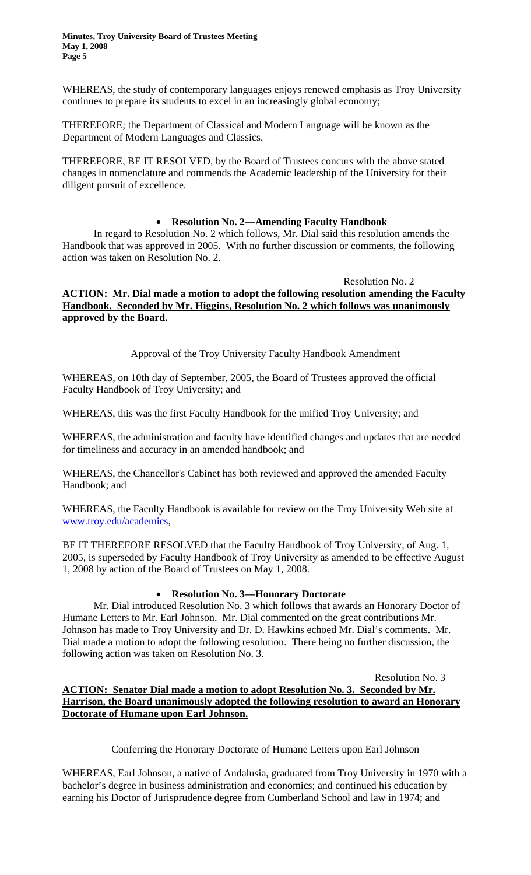WHEREAS, the study of contemporary languages enjoys renewed emphasis as Troy University continues to prepare its students to excel in an increasingly global economy;

THEREFORE; the Department of Classical and Modern Language will be known as the Department of Modern Languages and Classics.

THEREFORE, BE IT RESOLVED, by the Board of Trustees concurs with the above stated changes in nomenclature and commends the Academic leadership of the University for their diligent pursuit of excellence.

# • **Resolution No. 2—Amending Faculty Handbook**

In regard to Resolution No. 2 which follows, Mr. Dial said this resolution amends the Handbook that was approved in 2005. With no further discussion or comments, the following action was taken on Resolution No. 2.

### Resolution No. 2 **ACTION: Mr. Dial made a motion to adopt the following resolution amending the Faculty Handbook. Seconded by Mr. Higgins, Resolution No. 2 which follows was unanimously approved by the Board.**

Approval of the Troy University Faculty Handbook Amendment

WHEREAS, on 10th day of September, 2005, the Board of Trustees approved the official Faculty Handbook of Troy University; and

WHEREAS, this was the first Faculty Handbook for the unified Troy University; and

WHEREAS, the administration and faculty have identified changes and updates that are needed for timeliness and accuracy in an amended handbook; and

WHEREAS, the Chancellor's Cabinet has both reviewed and approved the amended Faculty Handbook; and

WHEREAS, the Faculty Handbook is available for review on the Troy University Web site at [www.troy.edu/academics,](www.troy.edu/academics)

BE IT THEREFORE RESOLVED that the Faculty Handbook of Troy University, of Aug. 1, 2005, is superseded by Faculty Handbook of Troy University as amended to be effective August 1, 2008 by action of the Board of Trustees on May 1, 2008.

# • **Resolution No. 3—Honorary Doctorate**

Mr. Dial introduced Resolution No. 3 which follows that awards an Honorary Doctor of Humane Letters to Mr. Earl Johnson. Mr. Dial commented on the great contributions Mr. Johnson has made to Troy University and Dr. D. Hawkins echoed Mr. Dial's comments. Mr. Dial made a motion to adopt the following resolution. There being no further discussion, the following action was taken on Resolution No. 3.

Resolution No. 3 **ACTION: Senator Dial made a motion to adopt Resolution No. 3. Seconded by Mr. Harrison, the Board unanimously adopted the following resolution to award an Honorary Doctorate of Humane upon Earl Johnson.**

Conferring the Honorary Doctorate of Humane Letters upon Earl Johnson

WHEREAS, Earl Johnson, a native of Andalusia, graduated from Troy University in 1970 with a bachelor's degree in business administration and economics; and continued his education by earning his Doctor of Jurisprudence degree from Cumberland School and law in 1974; and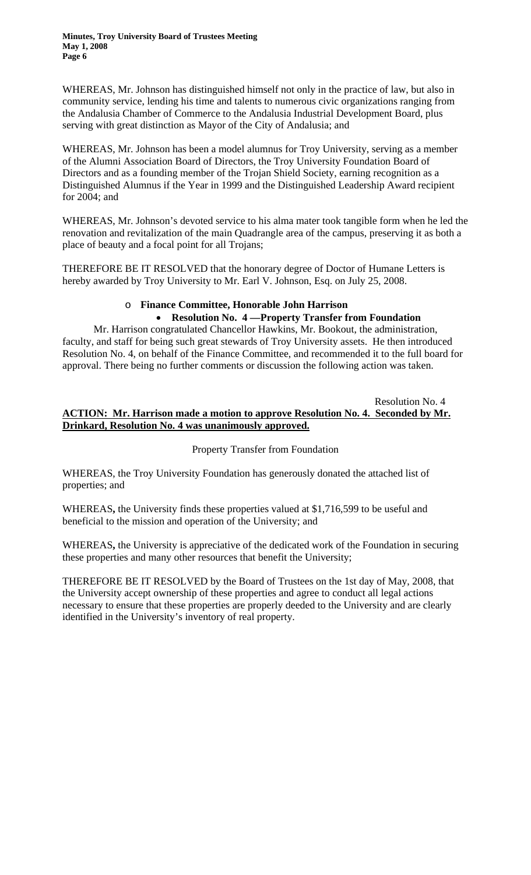WHEREAS, Mr. Johnson has distinguished himself not only in the practice of law, but also in community service, lending his time and talents to numerous civic organizations ranging from the Andalusia Chamber of Commerce to the Andalusia Industrial Development Board, plus serving with great distinction as Mayor of the City of Andalusia; and

WHEREAS, Mr. Johnson has been a model alumnus for Troy University, serving as a member of the Alumni Association Board of Directors, the Troy University Foundation Board of Directors and as a founding member of the Trojan Shield Society, earning recognition as a Distinguished Alumnus if the Year in 1999 and the Distinguished Leadership Award recipient for 2004; and

WHEREAS, Mr. Johnson's devoted service to his alma mater took tangible form when he led the renovation and revitalization of the main Quadrangle area of the campus, preserving it as both a place of beauty and a focal point for all Trojans;

THEREFORE BE IT RESOLVED that the honorary degree of Doctor of Humane Letters is hereby awarded by Troy University to Mr. Earl V. Johnson, Esq. on July 25, 2008.

# o **Finance Committee, Honorable John Harrison**

# • **Resolution No. 4 —Property Transfer from Foundation**

Mr. Harrison congratulated Chancellor Hawkins, Mr. Bookout, the administration, faculty, and staff for being such great stewards of Troy University assets. He then introduced Resolution No. 4, on behalf of the Finance Committee, and recommended it to the full board for approval. There being no further comments or discussion the following action was taken.

Resolution No. 4 **ACTION: Mr. Harrison made a motion to approve Resolution No. 4. Seconded by Mr. Drinkard, Resolution No. 4 was unanimously approved.**

# Property Transfer from Foundation

WHEREAS, the Troy University Foundation has generously donated the attached list of properties; and

WHEREAS**,** the University finds these properties valued at \$1,716,599 to be useful and beneficial to the mission and operation of the University; and

WHEREAS**,** the University is appreciative of the dedicated work of the Foundation in securing these properties and many other resources that benefit the University;

THEREFORE BE IT RESOLVED by the Board of Trustees on the 1st day of May, 2008, that the University accept ownership of these properties and agree to conduct all legal actions necessary to ensure that these properties are properly deeded to the University and are clearly identified in the University's inventory of real property.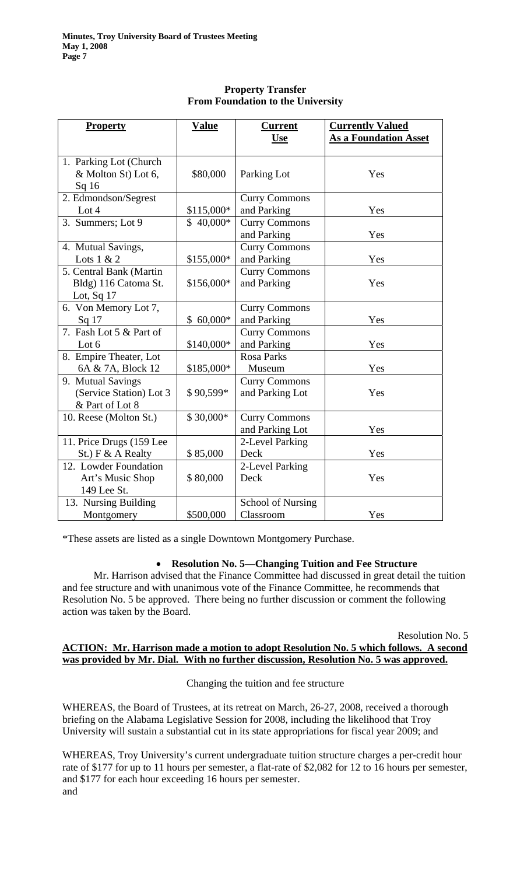| <b>Property</b>          | <b>Value</b> | <b>Current</b>       | <b>Currently Valued</b>      |
|--------------------------|--------------|----------------------|------------------------------|
|                          |              | <b>Use</b>           | <b>As a Foundation Asset</b> |
| 1. Parking Lot (Church   |              |                      |                              |
| & Molton St) Lot 6,      | \$80,000     | Parking Lot          | Yes                          |
| Sq <sub>16</sub>         |              |                      |                              |
| 2. Edmondson/Segrest     |              | <b>Curry Commons</b> |                              |
| Lot $4$                  | \$115,000*   | and Parking          | Yes                          |
| 3. Summers; Lot 9        | $$40,000*$   | <b>Curry Commons</b> |                              |
|                          |              | and Parking          | Yes                          |
| 4. Mutual Savings,       |              | <b>Curry Commons</b> |                              |
| Lots $1 & 2$             | \$155,000*   | and Parking          | Yes                          |
| 5. Central Bank (Martin  |              | <b>Curry Commons</b> |                              |
| Bldg) 116 Catoma St.     | \$156,000*   | and Parking          | Yes                          |
| Lot, Sq $17$             |              |                      |                              |
| 6. Von Memory Lot 7,     |              | <b>Curry Commons</b> |                              |
| Sq <sub>17</sub>         | $$60,000*$   | and Parking          | Yes                          |
| 7. Fash Lot 5 & Part of  |              | <b>Curry Commons</b> |                              |
| Lot $6$                  | \$140,000*   | and Parking          | Yes                          |
| 8. Empire Theater, Lot   |              | <b>Rosa Parks</b>    |                              |
| 6A & 7A, Block 12        | \$185,000*   | Museum               | Yes                          |
| 9. Mutual Savings        |              | <b>Curry Commons</b> |                              |
| (Service Station) Lot 3  | \$90,599*    | and Parking Lot      | Yes                          |
| & Part of Lot 8          |              |                      |                              |
| 10. Reese (Molton St.)   | \$30,000*    | <b>Curry Commons</b> |                              |
|                          |              | and Parking Lot      | Yes                          |
| 11. Price Drugs (159 Lee |              | 2-Level Parking      |                              |
| St.) F & A Realty        | \$85,000     | Deck                 | Yes                          |
| 12. Lowder Foundation    |              | 2-Level Parking      |                              |
| Art's Music Shop         | \$80,000     | Deck                 | Yes                          |
| 149 Lee St.              |              |                      |                              |
| 13. Nursing Building     |              | School of Nursing    |                              |
| Montgomery               | \$500,000    | Classroom            | Yes                          |

# **Property Transfer From Foundation to the University**

\*These assets are listed as a single Downtown Montgomery Purchase.

# • **Resolution No. 5—Changing Tuition and Fee Structure**

Mr. Harrison advised that the Finance Committee had discussed in great detail the tuition and fee structure and with unanimous vote of the Finance Committee, he recommends that Resolution No. 5 be approved. There being no further discussion or comment the following action was taken by the Board.

### Resolution No. 5 **ACTION: Mr. Harrison made a motion to adopt Resolution No. 5 which follows. A second was provided by Mr. Dial. With no further discussion, Resolution No. 5 was approved.**

Changing the tuition and fee structure

WHEREAS, the Board of Trustees, at its retreat on March, 26-27, 2008, received a thorough briefing on the Alabama Legislative Session for 2008, including the likelihood that Troy University will sustain a substantial cut in its state appropriations for fiscal year 2009; and

WHEREAS, Troy University's current undergraduate tuition structure charges a per-credit hour rate of \$177 for up to 11 hours per semester, a flat-rate of \$2,082 for 12 to 16 hours per semester, and \$177 for each hour exceeding 16 hours per semester. and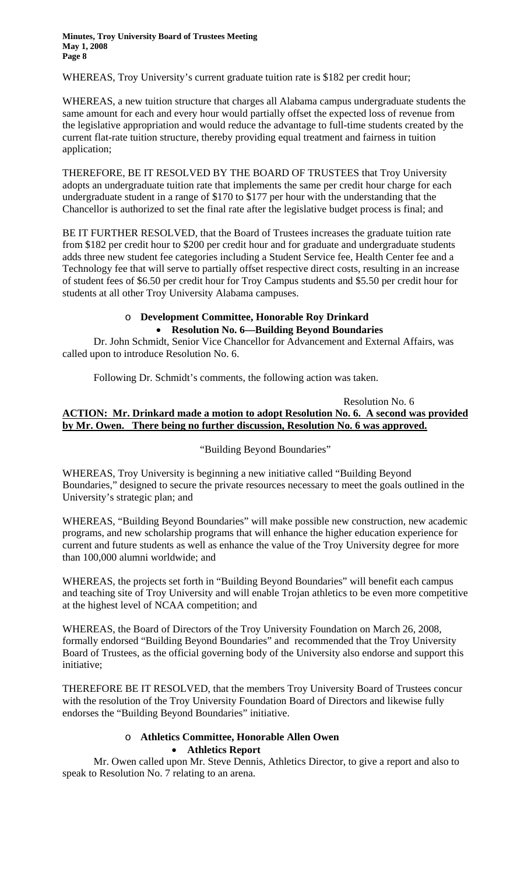WHEREAS, Troy University's current graduate tuition rate is \$182 per credit hour;

WHEREAS, a new tuition structure that charges all Alabama campus undergraduate students the same amount for each and every hour would partially offset the expected loss of revenue from the legislative appropriation and would reduce the advantage to full-time students created by the current flat-rate tuition structure, thereby providing equal treatment and fairness in tuition application;

THEREFORE, BE IT RESOLVED BY THE BOARD OF TRUSTEES that Troy University adopts an undergraduate tuition rate that implements the same per credit hour charge for each undergraduate student in a range of \$170 to \$177 per hour with the understanding that the Chancellor is authorized to set the final rate after the legislative budget process is final; and

BE IT FURTHER RESOLVED, that the Board of Trustees increases the graduate tuition rate from \$182 per credit hour to \$200 per credit hour and for graduate and undergraduate students adds three new student fee categories including a Student Service fee, Health Center fee and a Technology fee that will serve to partially offset respective direct costs, resulting in an increase of student fees of \$6.50 per credit hour for Troy Campus students and \$5.50 per credit hour for students at all other Troy University Alabama campuses.

# o **Development Committee, Honorable Roy Drinkard** • **Resolution No. 6—Building Beyond Boundaries**

Dr. John Schmidt, Senior Vice Chancellor for Advancement and External Affairs, was called upon to introduce Resolution No. 6.

Following Dr. Schmidt's comments, the following action was taken.

Resolution No. 6 **ACTION: Mr. Drinkard made a motion to adopt Resolution No. 6. A second was provided by Mr. Owen. There being no further discussion, Resolution No. 6 was approved.**

"Building Beyond Boundaries"

WHEREAS, Troy University is beginning a new initiative called "Building Beyond Boundaries," designed to secure the private resources necessary to meet the goals outlined in the University's strategic plan; and

WHEREAS, "Building Beyond Boundaries" will make possible new construction, new academic programs, and new scholarship programs that will enhance the higher education experience for current and future students as well as enhance the value of the Troy University degree for more than 100,000 alumni worldwide; and

WHEREAS, the projects set forth in "Building Beyond Boundaries" will benefit each campus and teaching site of Troy University and will enable Trojan athletics to be even more competitive at the highest level of NCAA competition; and

WHEREAS, the Board of Directors of the Troy University Foundation on March 26, 2008, formally endorsed "Building Beyond Boundaries" and recommended that the Troy University Board of Trustees, as the official governing body of the University also endorse and support this initiative;

THEREFORE BE IT RESOLVED, that the members Troy University Board of Trustees concur with the resolution of the Troy University Foundation Board of Directors and likewise fully endorses the "Building Beyond Boundaries" initiative.

# o **Athletics Committee, Honorable Allen Owen**  • **Athletics Report**

Mr. Owen called upon Mr. Steve Dennis, Athletics Director, to give a report and also to speak to Resolution No. 7 relating to an arena.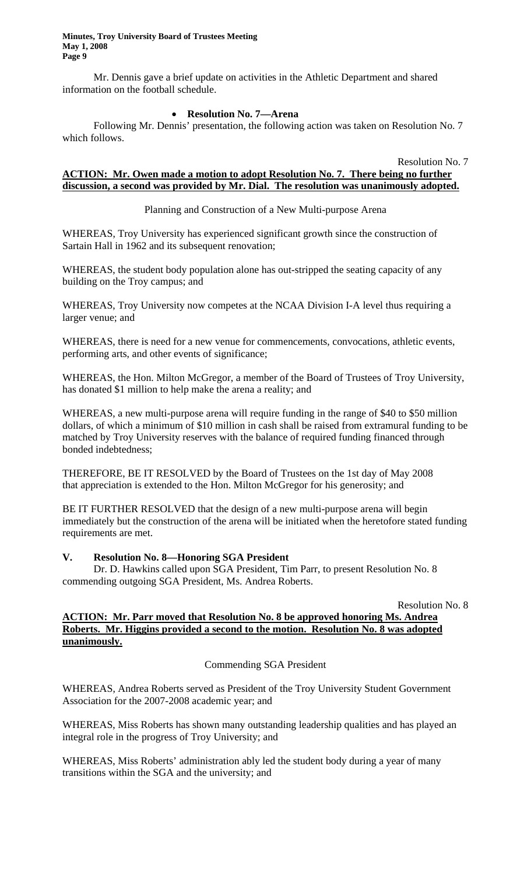Mr. Dennis gave a brief update on activities in the Athletic Department and shared information on the football schedule.

### • **Resolution No. 7—Arena**

Following Mr. Dennis' presentation, the following action was taken on Resolution No. 7 which follows.

Resolution No. 7

# **ACTION: Mr. Owen made a motion to adopt Resolution No. 7. There being no further discussion, a second was provided by Mr. Dial. The resolution was unanimously adopted.**

# Planning and Construction of a New Multi-purpose Arena

WHEREAS, Troy University has experienced significant growth since the construction of Sartain Hall in 1962 and its subsequent renovation;

WHEREAS, the student body population alone has out-stripped the seating capacity of any building on the Troy campus; and

WHEREAS, Troy University now competes at the NCAA Division I-A level thus requiring a larger venue; and

WHEREAS, there is need for a new venue for commencements, convocations, athletic events, performing arts, and other events of significance;

WHEREAS, the Hon. Milton McGregor, a member of the Board of Trustees of Troy University, has donated \$1 million to help make the arena a reality; and

WHEREAS, a new multi-purpose arena will require funding in the range of \$40 to \$50 million dollars, of which a minimum of \$10 million in cash shall be raised from extramural funding to be matched by Troy University reserves with the balance of required funding financed through bonded indebtedness;

THEREFORE, BE IT RESOLVED by the Board of Trustees on the 1st day of May 2008 that appreciation is extended to the Hon. Milton McGregor for his generosity; and

BE IT FURTHER RESOLVED that the design of a new multi-purpose arena will begin immediately but the construction of the arena will be initiated when the heretofore stated funding requirements are met.

# **V. Resolution No. 8—Honoring SGA President**

Dr. D. Hawkins called upon SGA President, Tim Parr, to present Resolution No. 8 commending outgoing SGA President, Ms. Andrea Roberts.

| Resolution No. 8  |
|-------------------|
| noring Ms. Andrea |

# **ACTION: Mr. Parr moved that Resolution No. 8 be approved hon Roberts. Mr. Higgins provided a second to the motion. Resolution No. 8 was adopted unanimously.**

# Commending SGA President

WHEREAS, Andrea Roberts served as President of the Troy University Student Government Association for the 2007-2008 academic year; and

WHEREAS, Miss Roberts has shown many outstanding leadership qualities and has played an integral role in the progress of Troy University; and

WHEREAS, Miss Roberts' administration ably led the student body during a year of many transitions within the SGA and the university; and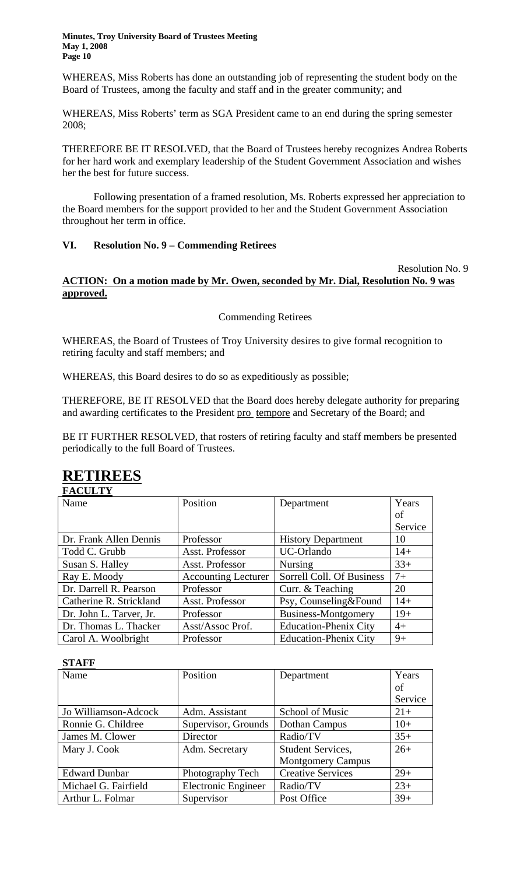WHEREAS, Miss Roberts has done an outstanding job of representing the student body on the Board of Trustees, among the faculty and staff and in the greater community; and

WHEREAS, Miss Roberts' term as SGA President came to an end during the spring semester 2008;

THEREFORE BE IT RESOLVED, that the Board of Trustees hereby recognizes Andrea Roberts for her hard work and exemplary leadership of the Student Government Association and wishes her the best for future success.

Following presentation of a framed resolution, Ms. Roberts expressed her appreciation to the Board members for the support provided to her and the Student Government Association throughout her term in office.

### **VI. Resolution No. 9 – Commending Retirees**

### Resolution No. 9 **ACTION: On a motion made by Mr. Owen, seconded by Mr. Dial, Resolution No. 9 was approved.**

Commending Retirees

WHEREAS, the Board of Trustees of Troy University desires to give formal recognition to retiring faculty and staff members; and

WHEREAS, this Board desires to do so as expeditiously as possible;

THEREFORE, BE IT RESOLVED that the Board does hereby delegate authority for preparing and awarding certificates to the President pro tempore and Secretary of the Board; and

BE IT FURTHER RESOLVED, that rosters of retiring faculty and staff members be presented periodically to the full Board of Trustees.

#### **RETIREES FACULTY**

| TACULI 1                |                            |                              |         |
|-------------------------|----------------------------|------------------------------|---------|
| Name                    | Position                   | Department                   | Years   |
|                         |                            |                              | οf      |
|                         |                            |                              | Service |
| Dr. Frank Allen Dennis  | Professor                  | <b>History Department</b>    | 10      |
| Todd C. Grubb           | Asst. Professor            | UC-Orlando                   | $14+$   |
| Susan S. Halley         | Asst. Professor            | <b>Nursing</b>               | $33+$   |
| Ray E. Moody            | <b>Accounting Lecturer</b> | Sorrell Coll. Of Business    | $7+$    |
| Dr. Darrell R. Pearson  | Professor                  | Curr. & Teaching             | 20      |
| Catherine R. Strickland | Asst. Professor            | Psy, Counseling&Found        | $14+$   |
| Dr. John L. Tarver, Jr. | Professor                  | Business-Montgomery          | $19+$   |
| Dr. Thomas L. Thacker   | Asst/Assoc Prof.           | <b>Education-Phenix City</b> | $4+$    |
| Carol A. Woolbright     | Professor                  | <b>Education-Phenix City</b> | $9+$    |

**STAFF**

| Name                 | Position            | Department               | Years   |
|----------------------|---------------------|--------------------------|---------|
|                      |                     |                          | of      |
|                      |                     |                          | Service |
| Jo Williamson-Adcock | Adm. Assistant      | School of Music          | $21+$   |
| Ronnie G. Childree   | Supervisor, Grounds | Dothan Campus            | $10+$   |
| James M. Clower      | Director            | Radio/TV                 | $35+$   |
| Mary J. Cook         | Adm. Secretary      | <b>Student Services,</b> | $26+$   |
|                      |                     | <b>Montgomery Campus</b> |         |
| <b>Edward Dunbar</b> | Photography Tech    | <b>Creative Services</b> | $29+$   |
| Michael G. Fairfield | Electronic Engineer | Radio/TV                 | $23+$   |
| Arthur L. Folmar     | Supervisor          | Post Office              | $39+$   |